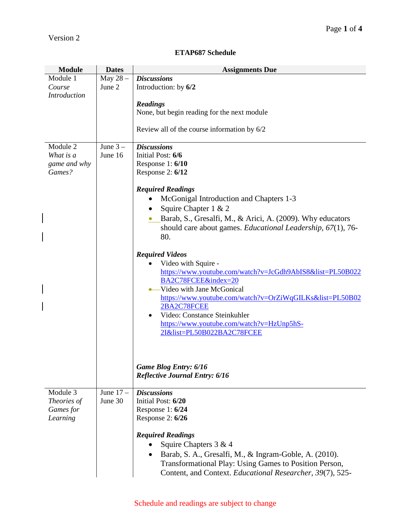$\overline{\phantom{a}}$ 

 $\overline{\phantom{a}}$ 

 $\overline{\phantom{a}}$ 

## **ETAP687 Schedule**

| <b>Module</b>                                    | <b>Dates</b>          | <b>Assignments Due</b>                                                                                                                                                                                                                                                                                                                                                                                                                                                                                                                                                                                                                                                                                                                                                  |
|--------------------------------------------------|-----------------------|-------------------------------------------------------------------------------------------------------------------------------------------------------------------------------------------------------------------------------------------------------------------------------------------------------------------------------------------------------------------------------------------------------------------------------------------------------------------------------------------------------------------------------------------------------------------------------------------------------------------------------------------------------------------------------------------------------------------------------------------------------------------------|
| Module 1<br>Course<br><b>Introduction</b>        | May 28-<br>June 2     | <b>Discussions</b><br>Introduction: by 6/2<br><b>Readings</b><br>None, but begin reading for the next module<br>Review all of the course information by 6/2                                                                                                                                                                                                                                                                                                                                                                                                                                                                                                                                                                                                             |
| Module 2<br>What is a<br>game and why<br>Games?  | June $3-$<br>June 16  | <b>Discussions</b><br>Initial Post: 6/6<br>Response 1: 6/10<br>Response 2: 6/12<br><b>Required Readings</b><br>McGonigal Introduction and Chapters 1-3<br>$\bullet$<br>Squire Chapter 1 & 2<br>Barab, S., Gresalfi, M., & Arici, A. (2009). Why educators<br>should care about games. Educational Leadership, 67(1), 76-<br>80.<br><b>Required Videos</b><br>Video with Squire -<br>https://www.youtube.com/watch?v=JcGdh9AbIS8&list=PL50B022<br>BA2C78FCEE&index=20<br>• Video with Jane McGonical<br>https://www.youtube.com/watch?v=OrZiWqGILKs&list=PL50B02<br>2BA2C78FCEE<br>Video: Constance Steinkuhler<br>٠<br>https://www.youtube.com/watch?v=HzUnp5hS-<br>2I&list=PL50B022BA2C78FCEE<br><b>Game Blog Entry: 6/16</b><br><b>Reflective Journal Entry: 6/16</b> |
| Module 3<br>Theories of<br>Games for<br>Learning | June $17-$<br>June 30 | <b>Discussions</b><br>Initial Post: 6/20<br>Response 1: 6/24<br>Response $2:6/26$<br><b>Required Readings</b><br>Squire Chapters 3 & 4<br>Barab, S. A., Gresalfi, M., & Ingram-Goble, A. (2010).<br>Transformational Play: Using Games to Position Person,<br>Content, and Context. Educational Researcher, 39(7), 525-                                                                                                                                                                                                                                                                                                                                                                                                                                                 |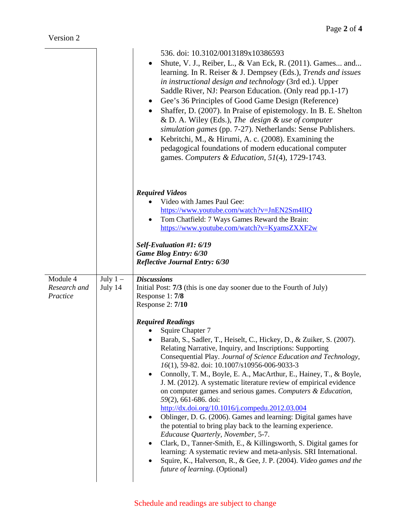|                                      |                      | 536. doi: 10.3102/0013189x10386593<br>Shute, V. J., Reiber, L., & Van Eck, R. (2011). Games and<br>learning. In R. Reiser & J. Dempsey (Eds.), Trends and issues<br>in instructional design and technology (3rd ed.). Upper<br>Saddle River, NJ: Pearson Education. (Only read pp.1-17)<br>Gee's 36 Principles of Good Game Design (Reference)<br>$\bullet$<br>Shaffer, D. (2007). In Praise of epistemology. In B. E. Shelton<br>$\bullet$<br>& D. A. Wiley (Eds.), The design & use of computer<br>simulation games (pp. 7-27). Netherlands: Sense Publishers.<br>Kebritchi, M., & Hirumi, A. c. (2008). Examining the<br>pedagogical foundations of modern educational computer<br>games. Computers & Education, 51(4), 1729-1743.                                                                                                                                                                                                                                                                                                                                                                                                                                                                       |
|--------------------------------------|----------------------|-------------------------------------------------------------------------------------------------------------------------------------------------------------------------------------------------------------------------------------------------------------------------------------------------------------------------------------------------------------------------------------------------------------------------------------------------------------------------------------------------------------------------------------------------------------------------------------------------------------------------------------------------------------------------------------------------------------------------------------------------------------------------------------------------------------------------------------------------------------------------------------------------------------------------------------------------------------------------------------------------------------------------------------------------------------------------------------------------------------------------------------------------------------------------------------------------------------|
|                                      |                      | <b>Required Videos</b><br>Video with James Paul Gee:<br>https://www.youtube.com/watch?v=JnEN2Sm4IIQ<br>Tom Chatfield: 7 Ways Games Reward the Brain:<br>https://www.youtube.com/watch?v=KyamsZXXF2w<br>Self-Evaluation #1: 6/19<br><b>Game Blog Entry: 6/30</b><br><b>Reflective Journal Entry: 6/30</b>                                                                                                                                                                                                                                                                                                                                                                                                                                                                                                                                                                                                                                                                                                                                                                                                                                                                                                    |
| Module 4<br>Research and<br>Practice | July $1-$<br>July 14 | <b>Discussions</b><br>Initial Post: 7/3 (this is one day sooner due to the Fourth of July)<br>Response 1: 7/8<br>Response 2: 7/10<br><b>Required Readings</b><br>Squire Chapter 7<br>Barab, S., Sadler, T., Heiselt, C., Hickey, D., & Zuiker, S. (2007).<br>Relating Narrative, Inquiry, and Inscriptions: Supporting<br>Consequential Play. Journal of Science Education and Technology,<br>16(1), 59-82. doi: 10.1007/s10956-006-9033-3<br>Connolly, T. M., Boyle, E. A., MacArthur, E., Hainey, T., & Boyle,<br>$\bullet$<br>J. M. (2012). A systematic literature review of empirical evidence<br>on computer games and serious games. Computers & Education,<br>59(2), 661-686. doi:<br>http://dx.doi.org/10.1016/j.compedu.2012.03.004<br>Oblinger, D. G. (2006). Games and learning: Digital games have<br>$\bullet$<br>the potential to bring play back to the learning experience.<br>Educause Quarterly, November, 5-7.<br>Clark, D., Tanner-Smith, E., & Killingsworth, S. Digital games for<br>$\bullet$<br>learning: A systematic review and meta-anlysis. SRI International.<br>Squire, K., Halverson, R., & Gee, J. P. (2004). Video games and the<br><i>future of learning.</i> (Optional) |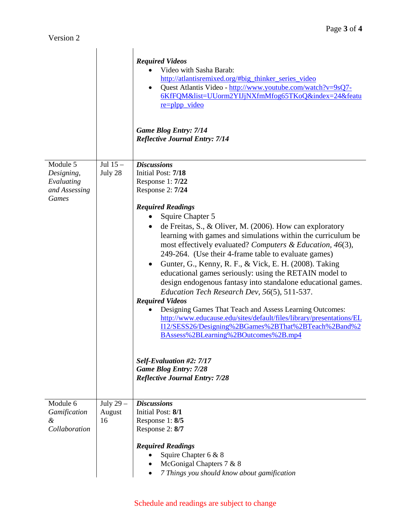|                                                                       |                             | <b>Required Videos</b><br>Video with Sasha Barab:<br>http://atlantisremixed.org/#big_thinker_series_video<br>Quest Atlantis Video - http://www.youtube.com/watch?v=9sQ7-<br>6KfFQM&list=UUorm2YIJjNXfmMfog65TKoQ&index=24&featu<br>re=plpp_video<br><b>Game Blog Entry: 7/14</b><br><b>Reflective Journal Entry: 7/14</b>                                                                                                                                                                                                                                                                                                                                                                                                                                                                                                                                                                                                                                                               |
|-----------------------------------------------------------------------|-----------------------------|-----------------------------------------------------------------------------------------------------------------------------------------------------------------------------------------------------------------------------------------------------------------------------------------------------------------------------------------------------------------------------------------------------------------------------------------------------------------------------------------------------------------------------------------------------------------------------------------------------------------------------------------------------------------------------------------------------------------------------------------------------------------------------------------------------------------------------------------------------------------------------------------------------------------------------------------------------------------------------------------|
| Module 5<br>Designing,<br>Evaluating<br>and Assessing<br><b>Games</b> | Jul $15-$<br>July 28        | <b>Discussions</b><br>Initial Post: 7/18<br>Response 1: 7/22<br>Response 2: 7/24<br><b>Required Readings</b><br>Squire Chapter 5<br>de Freitas, S., & Oliver, M. (2006). How can exploratory<br>learning with games and simulations within the curriculum be<br>most effectively evaluated? Computers & Education, 46(3),<br>249-264. (Use their 4-frame table to evaluate games)<br>Gunter, G., Kenny, R. F., & Vick, E. H. (2008). Taking<br>educational games seriously: using the RETAIN model to<br>design endogenous fantasy into standalone educational games.<br>Education Tech Research Dev, 56(5), 511-537.<br><b>Required Videos</b><br>Designing Games That Teach and Assess Learning Outcomes:<br>http://www.educause.edu/sites/default/files/library/presentations/EL<br>I12/SESS26/Designing%2BGames%2BThat%2BTeach%2Band%2<br>BAssess%2BLearning%2BOutcomes%2B.mp4<br>Self-Evaluation #2: 7/17<br><b>Game Blog Entry: 7/28</b><br><b>Reflective Journal Entry: 7/28</b> |
| Module 6<br>Gamification<br>&<br>Collaboration                        | July 29 $-$<br>August<br>16 | <b>Discussions</b><br>Initial Post: 8/1<br>Response 1: 8/5<br>Response 2: 8/7<br><b>Required Readings</b><br>Squire Chapter 6 & 8<br>McGonigal Chapters 7 & 8<br>7 Things you should know about gamification                                                                                                                                                                                                                                                                                                                                                                                                                                                                                                                                                                                                                                                                                                                                                                            |